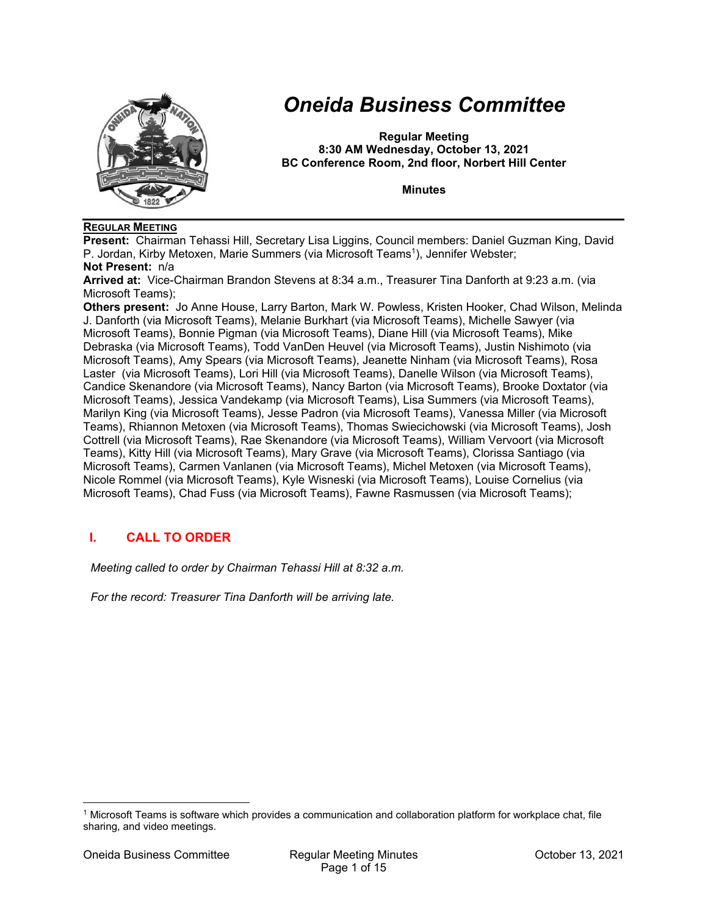

# *Oneida Business Committee*

**Regular Meeting 8:30 AM Wednesday, October 13, 2021 BC Conference Room, 2nd floor, Norbert Hill Center** 

**Minutes** 

### **REGULAR MEETING**

**Present:** Chairman Tehassi Hill, Secretary Lisa Liggins, Council members: Daniel Guzman King, David P. Jordan, Kirby Metoxen, Marie Summers (via Microsoft Teams<sup>1</sup>), Jennifer Webster;

**Not Present:** n/a

**Arrived at:** Vice-Chairman Brandon Stevens at 8:34 a.m., Treasurer Tina Danforth at 9:23 a.m. (via Microsoft Teams);

**Others present:** Jo Anne House, Larry Barton, Mark W. Powless, Kristen Hooker, Chad Wilson, Melinda J. Danforth (via Microsoft Teams), Melanie Burkhart (via Microsoft Teams), Michelle Sawyer (via Microsoft Teams), Bonnie Pigman (via Microsoft Teams), Diane Hill (via Microsoft Teams), Mike Debraska (via Microsoft Teams), Todd VanDen Heuvel (via Microsoft Teams), Justin Nishimoto (via Microsoft Teams), Amy Spears (via Microsoft Teams), Jeanette Ninham (via Microsoft Teams), Rosa Laster (via Microsoft Teams), Lori Hill (via Microsoft Teams), Danelle Wilson (via Microsoft Teams), Candice Skenandore (via Microsoft Teams), Nancy Barton (via Microsoft Teams), Brooke Doxtator (via Microsoft Teams), Jessica Vandekamp (via Microsoft Teams), Lisa Summers (via Microsoft Teams), Marilyn King (via Microsoft Teams), Jesse Padron (via Microsoft Teams), Vanessa Miller (via Microsoft Teams), Rhiannon Metoxen (via Microsoft Teams), Thomas Swiecichowski (via Microsoft Teams), Josh Cottrell (via Microsoft Teams), Rae Skenandore (via Microsoft Teams), William Vervoort (via Microsoft Teams), Kitty Hill (via Microsoft Teams), Mary Grave (via Microsoft Teams), Clorissa Santiago (via Microsoft Teams), Carmen Vanlanen (via Microsoft Teams), Michel Metoxen (via Microsoft Teams), Nicole Rommel (via Microsoft Teams), Kyle Wisneski (via Microsoft Teams), Louise Cornelius (via Microsoft Teams), Chad Fuss (via Microsoft Teams), Fawne Rasmussen (via Microsoft Teams);

# **I. CALL TO ORDER**

*Meeting called to order by Chairman Tehassi Hill at 8:32 a.m.* 

*For the record: Treasurer Tina Danforth will be arriving late.* 

<sup>1</sup> Microsoft Teams is software which provides a communication and collaboration platform for workplace chat, file sharing, and video meetings.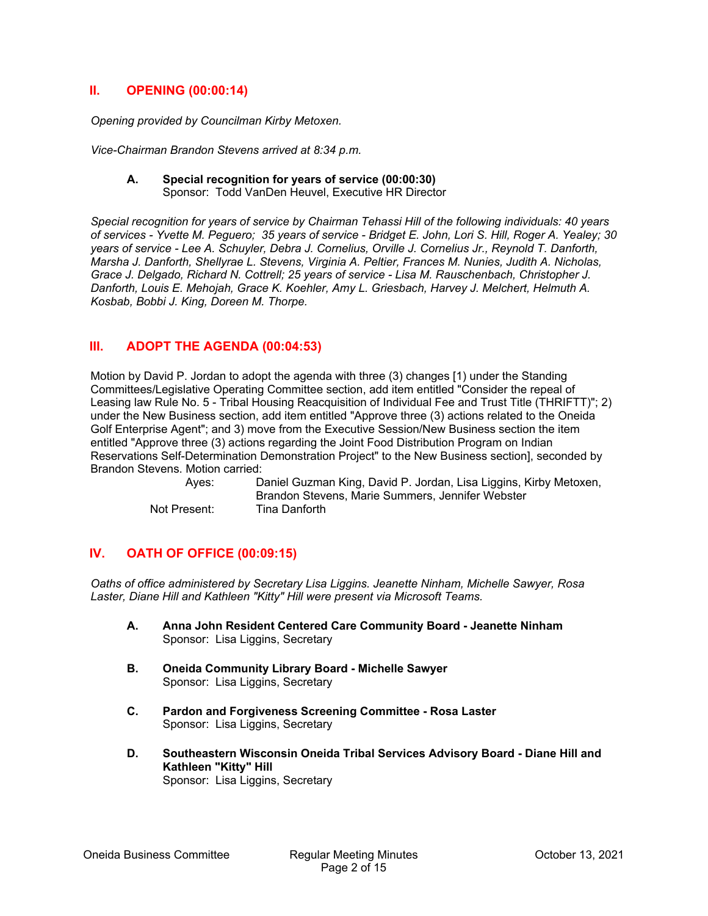# **II. OPENING (00:00:14)**

*Opening provided by Councilman Kirby Metoxen.* 

*Vice-Chairman Brandon Stevens arrived at 8:34 p.m.* 

#### **A. Special recognition for years of service (00:00:30)**  Sponsor: Todd VanDen Heuvel, Executive HR Director

*Special recognition for years of service by Chairman Tehassi Hill of the following individuals: 40 years of services - Yvette M. Peguero; 35 years of service - Bridget E. John, Lori S. Hill, Roger A. Yealey; 30 years of service - Lee A. Schuyler, Debra J. Cornelius, Orville J. Cornelius Jr., Reynold T. Danforth, Marsha J. Danforth, Shellyrae L. Stevens, Virginia A. Peltier, Frances M. Nunies, Judith A. Nicholas, Grace J. Delgado, Richard N. Cottrell; 25 years of service - Lisa M. Rauschenbach, Christopher J. Danforth, Louis E. Mehojah, Grace K. Koehler, Amy L. Griesbach, Harvey J. Melchert, Helmuth A. Kosbab, Bobbi J. King, Doreen M. Thorpe.* 

# **III. ADOPT THE AGENDA (00:04:53)**

Motion by David P. Jordan to adopt the agenda with three (3) changes [1) under the Standing Committees/Legislative Operating Committee section, add item entitled "Consider the repeal of Leasing law Rule No. 5 - Tribal Housing Reacquisition of Individual Fee and Trust Title (THRIFTT)"; 2) under the New Business section, add item entitled "Approve three (3) actions related to the Oneida Golf Enterprise Agent"; and 3) move from the Executive Session/New Business section the item entitled "Approve three (3) actions regarding the Joint Food Distribution Program on Indian Reservations Self-Determination Demonstration Project" to the New Business section], seconded by Brandon Stevens. Motion carried:

 Ayes: Daniel Guzman King, David P. Jordan, Lisa Liggins, Kirby Metoxen, Brandon Stevens, Marie Summers, Jennifer Webster Not Present: Tina Danforth

# **IV. OATH OF OFFICE (00:09:15)**

*Oaths of office administered by Secretary Lisa Liggins. Jeanette Ninham, Michelle Sawyer, Rosa Laster, Diane Hill and Kathleen "Kitty" Hill were present via Microsoft Teams.* 

- **A. Anna John Resident Centered Care Community Board Jeanette Ninham**  Sponsor: Lisa Liggins, Secretary
- **B. Oneida Community Library Board Michelle Sawyer**  Sponsor: Lisa Liggins, Secretary
- **C. Pardon and Forgiveness Screening Committee Rosa Laster**  Sponsor: Lisa Liggins, Secretary
- **D. Southeastern Wisconsin Oneida Tribal Services Advisory Board Diane Hill and Kathleen "Kitty" Hill**  Sponsor: Lisa Liggins, Secretary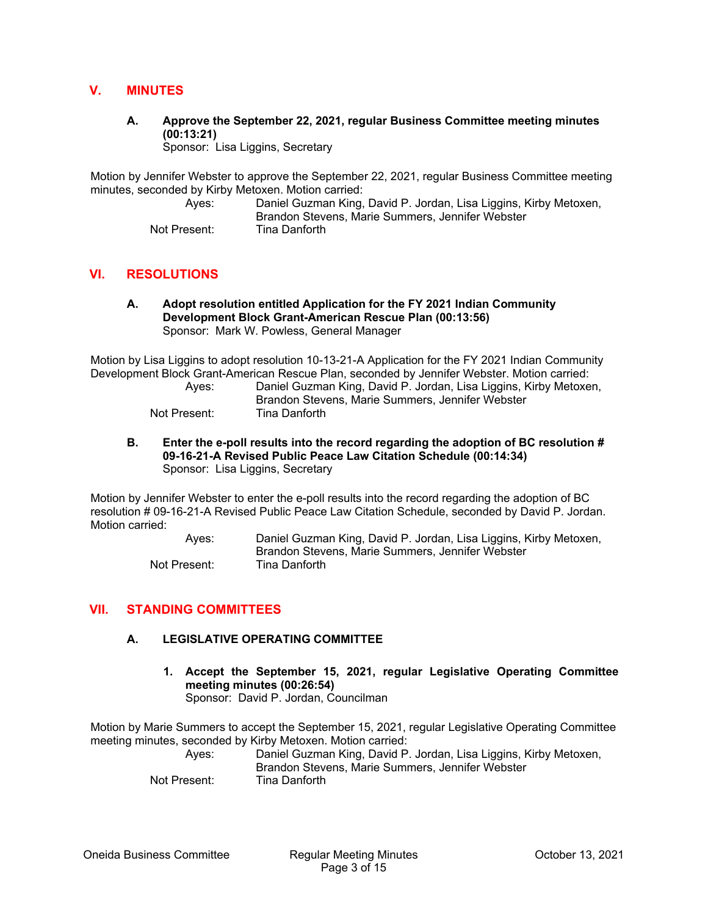# **V. MINUTES**

**A. Approve the September 22, 2021, regular Business Committee meeting minutes (00:13:21)** 

Sponsor: Lisa Liggins, Secretary

Motion by Jennifer Webster to approve the September 22, 2021, regular Business Committee meeting minutes, seconded by Kirby Metoxen. Motion carried:

 Ayes: Daniel Guzman King, David P. Jordan, Lisa Liggins, Kirby Metoxen, Brandon Stevens, Marie Summers, Jennifer Webster Not Present: Tina Danforth

# **VI. RESOLUTIONS**

**A. Adopt resolution entitled Application for the FY 2021 Indian Community Development Block Grant-American Rescue Plan (00:13:56)**  Sponsor: Mark W. Powless, General Manager

Motion by Lisa Liggins to adopt resolution 10-13-21-A Application for the FY 2021 Indian Community Development Block Grant-American Rescue Plan, seconded by Jennifer Webster. Motion carried:

| Aves:        | Daniel Guzman King, David P. Jordan, Lisa Liggins, Kirby Metoxen, |
|--------------|-------------------------------------------------------------------|
|              | Brandon Stevens, Marie Summers, Jennifer Webster                  |
| Not Present: | Tina Danforth                                                     |

**B. Enter the e-poll results into the record regarding the adoption of BC resolution # 09-16-21-A Revised Public Peace Law Citation Schedule (00:14:34)**  Sponsor: Lisa Liggins, Secretary

Motion by Jennifer Webster to enter the e-poll results into the record regarding the adoption of BC resolution # 09-16-21-A Revised Public Peace Law Citation Schedule, seconded by David P. Jordan. Motion carried:

> Ayes: Daniel Guzman King, David P. Jordan, Lisa Liggins, Kirby Metoxen, Brandon Stevens, Marie Summers, Jennifer Webster Not Present: Tina Danforth

### **VII. STANDING COMMITTEES**

### **A. LEGISLATIVE OPERATING COMMITTEE**

**1. Accept the September 15, 2021, regular Legislative Operating Committee meeting minutes (00:26:54)**  Sponsor: David P. Jordan, Councilman

Motion by Marie Summers to accept the September 15, 2021, regular Legislative Operating Committee meeting minutes, seconded by Kirby Metoxen. Motion carried:

 Ayes: Daniel Guzman King, David P. Jordan, Lisa Liggins, Kirby Metoxen, Brandon Stevens, Marie Summers, Jennifer Webster Not Present: Tina Danforth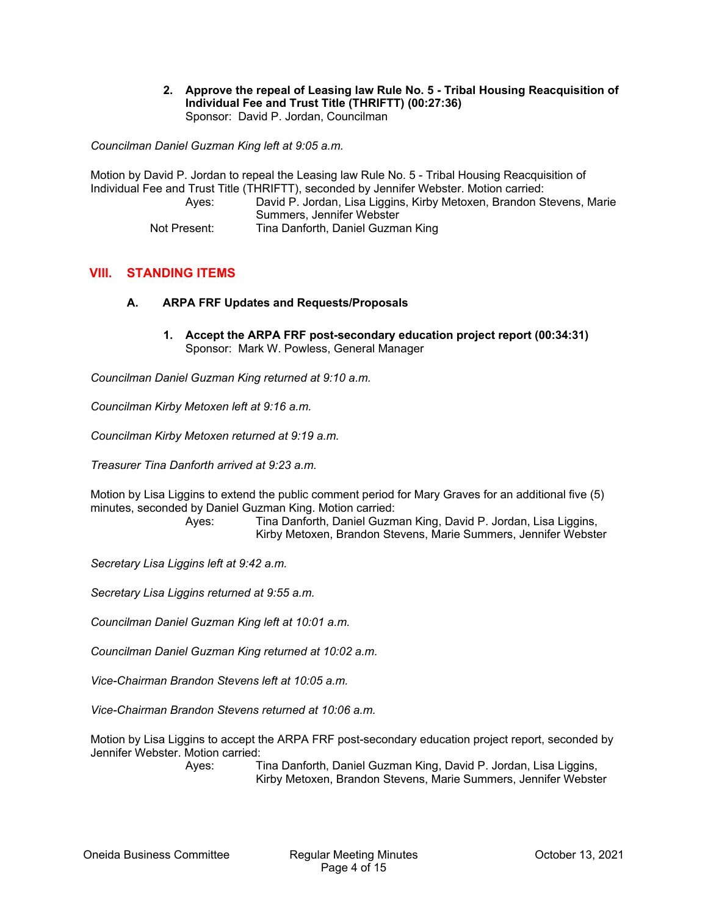**2. Approve the repeal of Leasing law Rule No. 5 - Tribal Housing Reacquisition of Individual Fee and Trust Title (THRIFTT) (00:27:36)**  Sponsor: David P. Jordan, Councilman

*Councilman Daniel Guzman King left at 9:05 a.m.* 

Motion by David P. Jordan to repeal the Leasing law Rule No. 5 - Tribal Housing Reacquisition of Individual Fee and Trust Title (THRIFTT), seconded by Jennifer Webster. Motion carried: Ayes: David P. Jordan, Lisa Liggins, Kirby Metoxen, Brandon Stevens, Marie Summers, Jennifer Webster Not Present: Tina Danforth, Daniel Guzman King

# **VIII. STANDING ITEMS**

### **A. ARPA FRF Updates and Requests/Proposals**

**1. Accept the ARPA FRF post-secondary education project report (00:34:31)**  Sponsor: Mark W. Powless, General Manager

*Councilman Daniel Guzman King returned at 9:10 a.m.* 

*Councilman Kirby Metoxen left at 9:16 a.m.* 

*Councilman Kirby Metoxen returned at 9:19 a.m.* 

*Treasurer Tina Danforth arrived at 9:23 a.m.* 

Motion by Lisa Liggins to extend the public comment period for Mary Graves for an additional five (5) minutes, seconded by Daniel Guzman King. Motion carried:

> Ayes: Tina Danforth, Daniel Guzman King, David P. Jordan, Lisa Liggins, Kirby Metoxen, Brandon Stevens, Marie Summers, Jennifer Webster

*Secretary Lisa Liggins left at 9:42 a.m.* 

*Secretary Lisa Liggins returned at 9:55 a.m.* 

*Councilman Daniel Guzman King left at 10:01 a.m.* 

*Councilman Daniel Guzman King returned at 10:02 a.m.* 

*Vice-Chairman Brandon Stevens left at 10:05 a.m.* 

*Vice-Chairman Brandon Stevens returned at 10:06 a.m.* 

Motion by Lisa Liggins to accept the ARPA FRF post-secondary education project report, seconded by Jennifer Webster. Motion carried:

> Ayes: Tina Danforth, Daniel Guzman King, David P. Jordan, Lisa Liggins, Kirby Metoxen, Brandon Stevens, Marie Summers, Jennifer Webster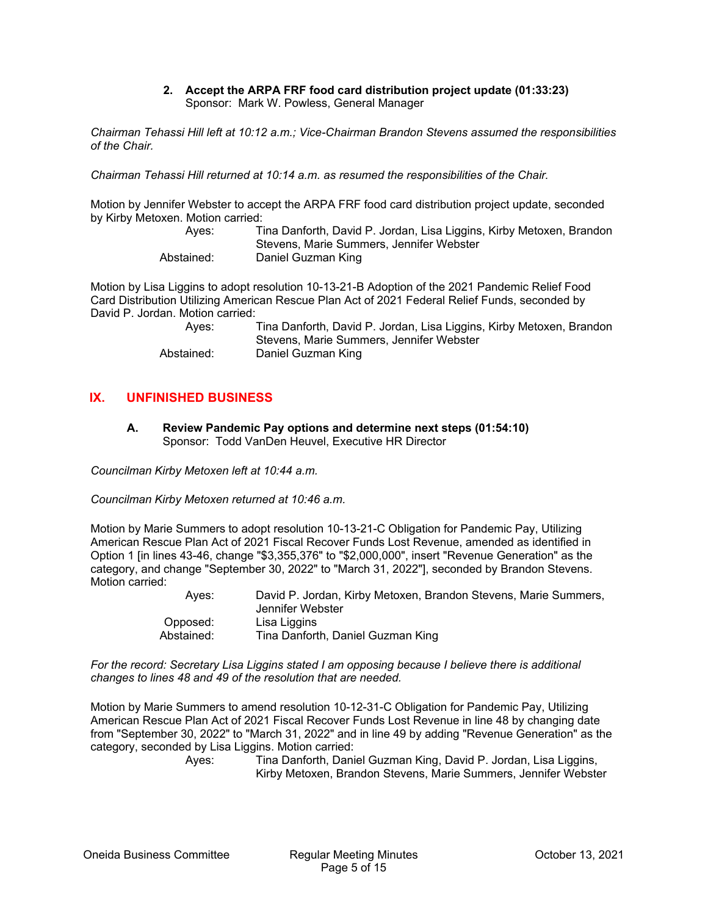#### **2. Accept the ARPA FRF food card distribution project update (01:33:23)**  Sponsor: Mark W. Powless, General Manager

*Chairman Tehassi Hill left at 10:12 a.m.; Vice-Chairman Brandon Stevens assumed the responsibilities of the Chair.* 

*Chairman Tehassi Hill returned at 10:14 a.m. as resumed the responsibilities of the Chair.* 

Motion by Jennifer Webster to accept the ARPA FRF food card distribution project update, seconded by Kirby Metoxen. Motion carried:<br>Ayes: Ti

Tina Danforth, David P. Jordan, Lisa Liggins, Kirby Metoxen, Brandon Stevens, Marie Summers, Jennifer Webster Abstained: Daniel Guzman King

Motion by Lisa Liggins to adopt resolution 10-13-21-B Adoption of the 2021 Pandemic Relief Food Card Distribution Utilizing American Rescue Plan Act of 2021 Federal Relief Funds, seconded by David P. Jordan. Motion carried:

| Aves:      | Tina Danforth, David P. Jordan, Lisa Liggins, Kirby Metoxen, Brandon |
|------------|----------------------------------------------------------------------|
|            | Stevens, Marie Summers, Jennifer Webster                             |
| Abstained: | Daniel Guzman King                                                   |

# **IX. UNFINISHED BUSINESS**

**A. Review Pandemic Pay options and determine next steps (01:54:10)**  Sponsor: Todd VanDen Heuvel, Executive HR Director

*Councilman Kirby Metoxen left at 10:44 a.m.* 

*Councilman Kirby Metoxen returned at 10:46 a.m.* 

Motion by Marie Summers to adopt resolution 10-13-21-C Obligation for Pandemic Pay, Utilizing American Rescue Plan Act of 2021 Fiscal Recover Funds Lost Revenue, amended as identified in Option 1 [in lines 43-46, change "\$3,355,376" to "\$2,000,000", insert "Revenue Generation" as the category, and change "September 30, 2022" to "March 31, 2022"], seconded by Brandon Stevens. Motion carried:

| Aves:      | David P. Jordan, Kirby Metoxen, Brandon Stevens, Marie Summers,<br>Jennifer Webster |
|------------|-------------------------------------------------------------------------------------|
| Opposed:   | Lisa Liggins                                                                        |
| Abstained: | Tina Danforth, Daniel Guzman King                                                   |

*For the record: Secretary Lisa Liggins stated I am opposing because I believe there is additional changes to lines 48 and 49 of the resolution that are needed.* 

Motion by Marie Summers to amend resolution 10-12-31-C Obligation for Pandemic Pay, Utilizing American Rescue Plan Act of 2021 Fiscal Recover Funds Lost Revenue in line 48 by changing date from "September 30, 2022" to "March 31, 2022" and in line 49 by adding "Revenue Generation" as the category, seconded by Lisa Liggins. Motion carried:

 Ayes: Tina Danforth, Daniel Guzman King, David P. Jordan, Lisa Liggins, Kirby Metoxen, Brandon Stevens, Marie Summers, Jennifer Webster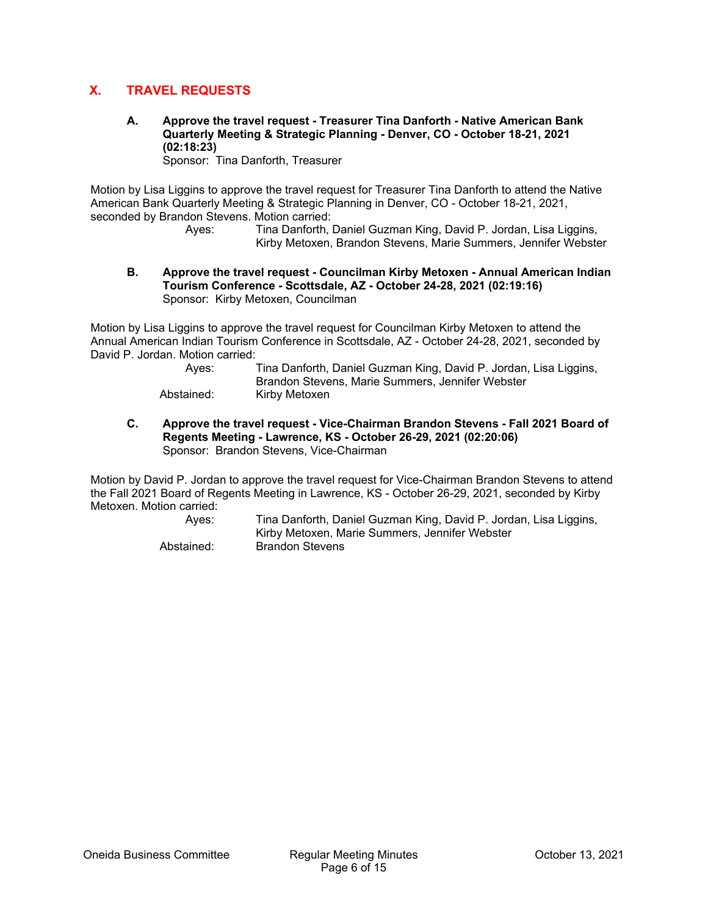# **X. TRAVEL REQUESTS**

**A. Approve the travel request - Treasurer Tina Danforth - Native American Bank Quarterly Meeting & Strategic Planning - Denver, CO - October 18-21, 2021 (02:18:23)** 

Sponsor: Tina Danforth, Treasurer

Motion by Lisa Liggins to approve the travel request for Treasurer Tina Danforth to attend the Native American Bank Quarterly Meeting & Strategic Planning in Denver, CO - October 18-21, 2021, seconded by Brandon Stevens. Motion carried:

 Ayes: Tina Danforth, Daniel Guzman King, David P. Jordan, Lisa Liggins, Kirby Metoxen, Brandon Stevens, Marie Summers, Jennifer Webster

**B. Approve the travel request - Councilman Kirby Metoxen - Annual American Indian Tourism Conference - Scottsdale, AZ - October 24-28, 2021 (02:19:16)**  Sponsor: Kirby Metoxen, Councilman

Motion by Lisa Liggins to approve the travel request for Councilman Kirby Metoxen to attend the Annual American Indian Tourism Conference in Scottsdale, AZ - October 24-28, 2021, seconded by David P. Jordan. Motion carried:

| Ayes:      | Tina Danforth, Daniel Guzman King, David P. Jordan, Lisa Liggins, |
|------------|-------------------------------------------------------------------|
|            | Brandon Stevens, Marie Summers, Jennifer Webster                  |
| Ahetained: | Kirhy Matovan                                                     |

- Abstained: Kirby Metoxen
- **C. Approve the travel request Vice-Chairman Brandon Stevens Fall 2021 Board of Regents Meeting - Lawrence, KS - October 26-29, 2021 (02:20:06)**  Sponsor: Brandon Stevens, Vice-Chairman

Motion by David P. Jordan to approve the travel request for Vice-Chairman Brandon Stevens to attend the Fall 2021 Board of Regents Meeting in Lawrence, KS - October 26-29, 2021, seconded by Kirby Metoxen. Motion carried:

> Ayes: Tina Danforth, Daniel Guzman King, David P. Jordan, Lisa Liggins, Kirby Metoxen, Marie Summers, Jennifer Webster Abstained: Brandon Stevens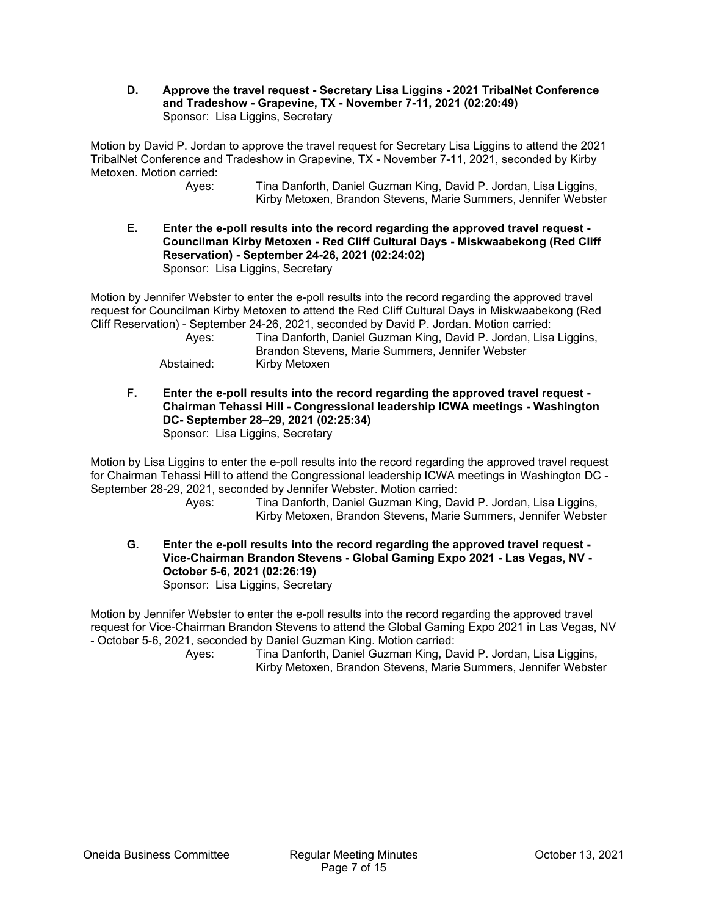**D. Approve the travel request - Secretary Lisa Liggins - 2021 TribalNet Conference and Tradeshow - Grapevine, TX - November 7-11, 2021 (02:20:49)**  Sponsor: Lisa Liggins, Secretary

Motion by David P. Jordan to approve the travel request for Secretary Lisa Liggins to attend the 2021 TribalNet Conference and Tradeshow in Grapevine, TX - November 7-11, 2021, seconded by Kirby Metoxen. Motion carried:

 Ayes: Tina Danforth, Daniel Guzman King, David P. Jordan, Lisa Liggins, Kirby Metoxen, Brandon Stevens, Marie Summers, Jennifer Webster

**E. Enter the e-poll results into the record regarding the approved travel request - Councilman Kirby Metoxen - Red Cliff Cultural Days - Miskwaabekong (Red Cliff Reservation) - September 24-26, 2021 (02:24:02)**  Sponsor: Lisa Liggins, Secretary

Motion by Jennifer Webster to enter the e-poll results into the record regarding the approved travel request for Councilman Kirby Metoxen to attend the Red Cliff Cultural Days in Miskwaabekong (Red Cliff Reservation) - September 24-26, 2021, seconded by David P. Jordan. Motion carried:

| Aves:      | Tina Danforth, Daniel Guzman King, David P. Jordan, Lisa Liggins, |
|------------|-------------------------------------------------------------------|
|            | Brandon Stevens, Marie Summers, Jennifer Webster                  |
| Abstained: | Kirby Metoxen                                                     |

**F. Enter the e-poll results into the record regarding the approved travel request - Chairman Tehassi Hill - Congressional leadership ICWA meetings - Washington DC- September 28–29, 2021 (02:25:34)**  Sponsor: Lisa Liggins, Secretary

Motion by Lisa Liggins to enter the e-poll results into the record regarding the approved travel request for Chairman Tehassi Hill to attend the Congressional leadership ICWA meetings in Washington DC - September 28-29, 2021, seconded by Jennifer Webster. Motion carried:

 Ayes: Tina Danforth, Daniel Guzman King, David P. Jordan, Lisa Liggins, Kirby Metoxen, Brandon Stevens, Marie Summers, Jennifer Webster

**G. Enter the e-poll results into the record regarding the approved travel request - Vice-Chairman Brandon Stevens - Global Gaming Expo 2021 - Las Vegas, NV - October 5-6, 2021 (02:26:19)**  Sponsor: Lisa Liggins, Secretary

Motion by Jennifer Webster to enter the e-poll results into the record regarding the approved travel request for Vice-Chairman Brandon Stevens to attend the Global Gaming Expo 2021 in Las Vegas, NV - October 5-6, 2021, seconded by Daniel Guzman King. Motion carried:

 Ayes: Tina Danforth, Daniel Guzman King, David P. Jordan, Lisa Liggins, Kirby Metoxen, Brandon Stevens, Marie Summers, Jennifer Webster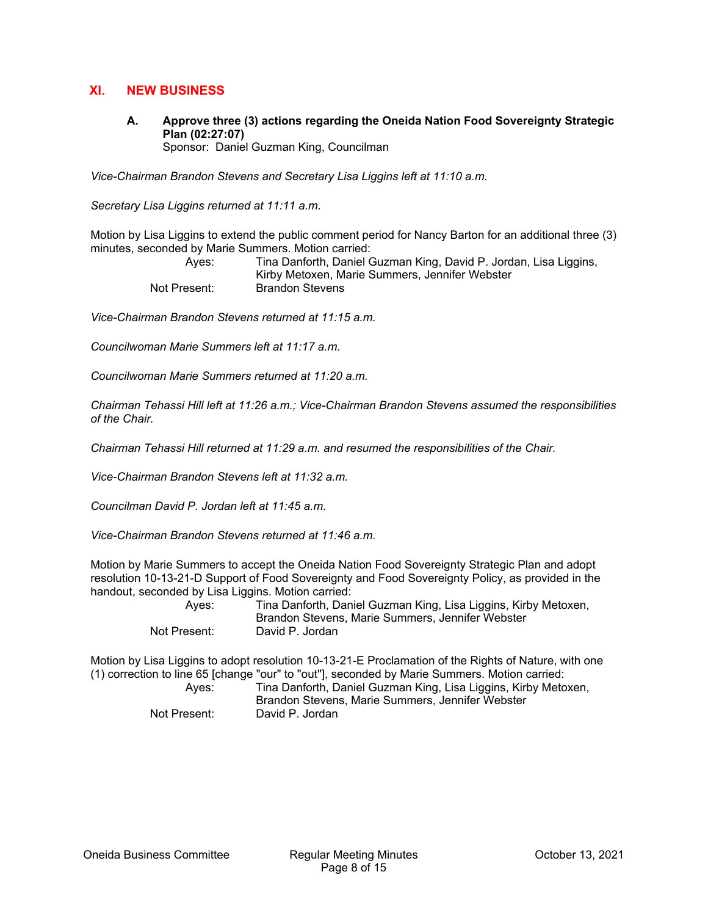# **XI. NEW BUSINESS**

**A. Approve three (3) actions regarding the Oneida Nation Food Sovereignty Strategic Plan (02:27:07)**  Sponsor: Daniel Guzman King, Councilman

*Vice-Chairman Brandon Stevens and Secretary Lisa Liggins left at 11:10 a.m.* 

*Secretary Lisa Liggins returned at 11:11 a.m.* 

Motion by Lisa Liggins to extend the public comment period for Nancy Barton for an additional three (3) minutes, seconded by Marie Summers. Motion carried:

| Ayes:        | Tina Danforth, Daniel Guzman King, David P. Jordan, Lisa Liggins, |
|--------------|-------------------------------------------------------------------|
|              | Kirby Metoxen, Marie Summers, Jennifer Webster                    |
| Not Present: | Brandon Stevens                                                   |

*Vice-Chairman Brandon Stevens returned at 11:15 a.m.* 

*Councilwoman Marie Summers left at 11:17 a.m.* 

*Councilwoman Marie Summers returned at 11:20 a.m.* 

*Chairman Tehassi Hill left at 11:26 a.m.; Vice-Chairman Brandon Stevens assumed the responsibilities of the Chair.* 

*Chairman Tehassi Hill returned at 11:29 a.m. and resumed the responsibilities of the Chair.* 

*Vice-Chairman Brandon Stevens left at 11:32 a.m.* 

*Councilman David P. Jordan left at 11:45 a.m.* 

*Vice-Chairman Brandon Stevens returned at 11:46 a.m.* 

Motion by Marie Summers to accept the Oneida Nation Food Sovereignty Strategic Plan and adopt resolution 10-13-21-D Support of Food Sovereignty and Food Sovereignty Policy, as provided in the handout, seconded by Lisa Liggins. Motion carried:

 Ayes: Tina Danforth, Daniel Guzman King, Lisa Liggins, Kirby Metoxen, Brandon Stevens, Marie Summers, Jennifer Webster Not Present: David P. Jordan

Motion by Lisa Liggins to adopt resolution 10-13-21-E Proclamation of the Rights of Nature, with one (1) correction to line 65 [change "our" to "out"], seconded by Marie Summers. Motion carried:

 Ayes: Tina Danforth, Daniel Guzman King, Lisa Liggins, Kirby Metoxen, Brandon Stevens, Marie Summers, Jennifer Webster Not Present: David P. Jordan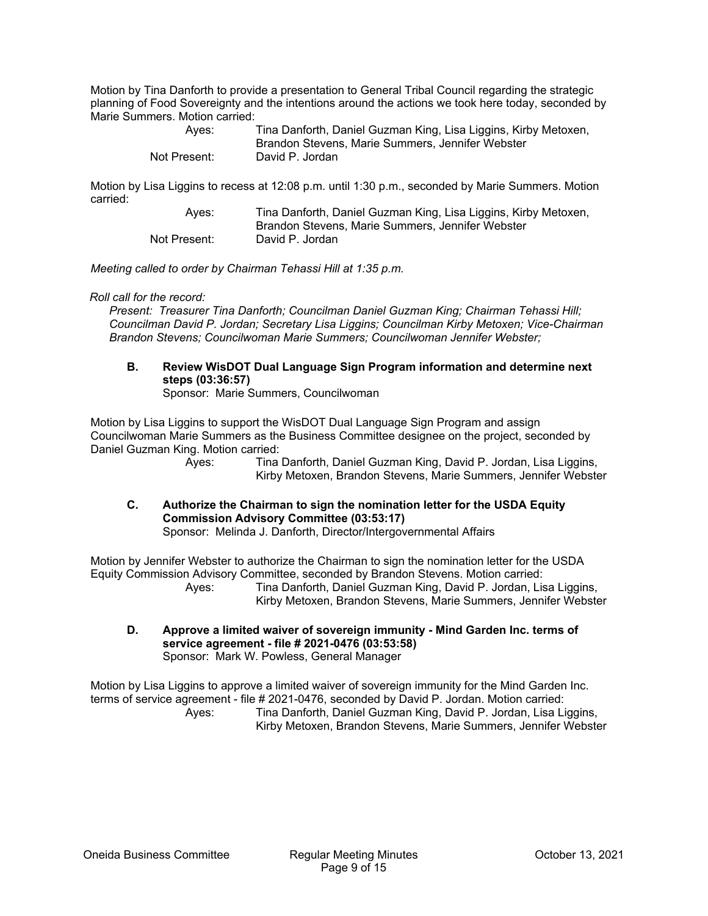Motion by Tina Danforth to provide a presentation to General Tribal Council regarding the strategic planning of Food Sovereignty and the intentions around the actions we took here today, seconded by Marie Summers. Motion carried:

| Ayes:        | Tina Danforth, Daniel Guzman King, Lisa Liggins, Kirby Metoxen, |
|--------------|-----------------------------------------------------------------|
|              | Brandon Stevens, Marie Summers, Jennifer Webster                |
| Not Present: | David P. Jordan                                                 |

Motion by Lisa Liggins to recess at 12:08 p.m. until 1:30 p.m., seconded by Marie Summers. Motion carried:

| Ayes:        | Tina Danforth, Daniel Guzman King, Lisa Liggins, Kirby Metoxen, |
|--------------|-----------------------------------------------------------------|
|              | Brandon Stevens, Marie Summers, Jennifer Webster                |
| Not Present: | David P. Jordan                                                 |

*Meeting called to order by Chairman Tehassi Hill at 1:35 p.m.* 

#### *Roll call for the record:*

*Present: Treasurer Tina Danforth; Councilman Daniel Guzman King; Chairman Tehassi Hill; Councilman David P. Jordan; Secretary Lisa Liggins; Councilman Kirby Metoxen; Vice-Chairman Brandon Stevens; Councilwoman Marie Summers; Councilwoman Jennifer Webster;* 

# **B. Review WisDOT Dual Language Sign Program information and determine next steps (03:36:57)**

Sponsor: Marie Summers, Councilwoman

Motion by Lisa Liggins to support the WisDOT Dual Language Sign Program and assign Councilwoman Marie Summers as the Business Committee designee on the project, seconded by Daniel Guzman King. Motion carried:

> Ayes: Tina Danforth, Daniel Guzman King, David P. Jordan, Lisa Liggins, Kirby Metoxen, Brandon Stevens, Marie Summers, Jennifer Webster

**C. Authorize the Chairman to sign the nomination letter for the USDA Equity Commission Advisory Committee (03:53:17)** 

Sponsor: Melinda J. Danforth, Director/Intergovernmental Affairs

Motion by Jennifer Webster to authorize the Chairman to sign the nomination letter for the USDA Equity Commission Advisory Committee, seconded by Brandon Stevens. Motion carried:

Tina Danforth, Daniel Guzman King, David P. Jordan, Lisa Liggins, Kirby Metoxen, Brandon Stevens, Marie Summers, Jennifer Webster

**D. Approve a limited waiver of sovereign immunity - Mind Garden Inc. terms of service agreement - file # 2021-0476 (03:53:58)**  Sponsor: Mark W. Powless, General Manager

Motion by Lisa Liggins to approve a limited waiver of sovereign immunity for the Mind Garden Inc. terms of service agreement - file # 2021-0476, seconded by David P. Jordan. Motion carried: Ayes: Tina Danforth, Daniel Guzman King, David P. Jordan, Lisa Liggins, Kirby Metoxen, Brandon Stevens, Marie Summers, Jennifer Webster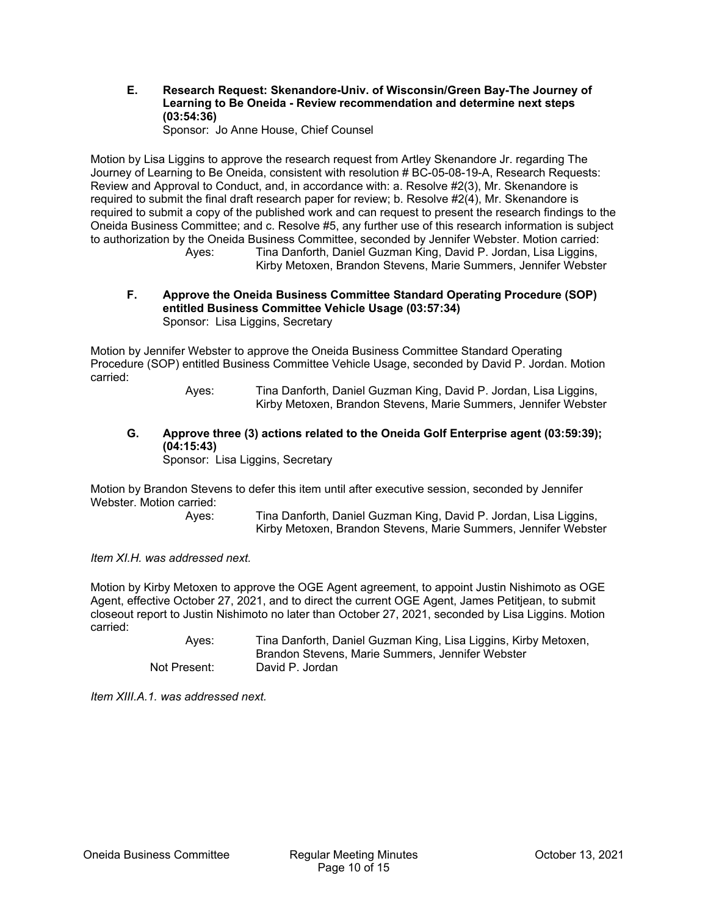**E. Research Request: Skenandore-Univ. of Wisconsin/Green Bay-The Journey of Learning to Be Oneida - Review recommendation and determine next steps (03:54:36)** 

Sponsor: Jo Anne House, Chief Counsel

Motion by Lisa Liggins to approve the research request from Artley Skenandore Jr. regarding The Journey of Learning to Be Oneida, consistent with resolution # BC-05-08-19-A, Research Requests: Review and Approval to Conduct, and, in accordance with: a. Resolve #2(3), Mr. Skenandore is required to submit the final draft research paper for review; b. Resolve #2(4), Mr. Skenandore is required to submit a copy of the published work and can request to present the research findings to the Oneida Business Committee; and c. Resolve #5, any further use of this research information is subject to authorization by the Oneida Business Committee, seconded by Jennifer Webster. Motion carried: Ayes: Tina Danforth, Daniel Guzman King, David P. Jordan, Lisa Liggins,

Kirby Metoxen, Brandon Stevens, Marie Summers, Jennifer Webster

**F. Approve the Oneida Business Committee Standard Operating Procedure (SOP) entitled Business Committee Vehicle Usage (03:57:34)**  Sponsor: Lisa Liggins, Secretary

Motion by Jennifer Webster to approve the Oneida Business Committee Standard Operating Procedure (SOP) entitled Business Committee Vehicle Usage, seconded by David P. Jordan. Motion carried:

> Ayes: Tina Danforth, Daniel Guzman King, David P. Jordan, Lisa Liggins, Kirby Metoxen, Brandon Stevens, Marie Summers, Jennifer Webster

**G. Approve three (3) actions related to the Oneida Golf Enterprise agent (03:59:39); (04:15:43)** 

Sponsor: Lisa Liggins, Secretary

Motion by Brandon Stevens to defer this item until after executive session, seconded by Jennifer Webster. Motion carried:

 Ayes: Tina Danforth, Daniel Guzman King, David P. Jordan, Lisa Liggins, Kirby Metoxen, Brandon Stevens, Marie Summers, Jennifer Webster

*Item XI.H. was addressed next.* 

Motion by Kirby Metoxen to approve the OGE Agent agreement, to appoint Justin Nishimoto as OGE Agent, effective October 27, 2021, and to direct the current OGE Agent, James Petitjean, to submit closeout report to Justin Nishimoto no later than October 27, 2021, seconded by Lisa Liggins. Motion carried:

 Ayes: Tina Danforth, Daniel Guzman King, Lisa Liggins, Kirby Metoxen, Brandon Stevens, Marie Summers, Jennifer Webster Not Present: David P. Jordan

*Item XIII.A.1. was addressed next.*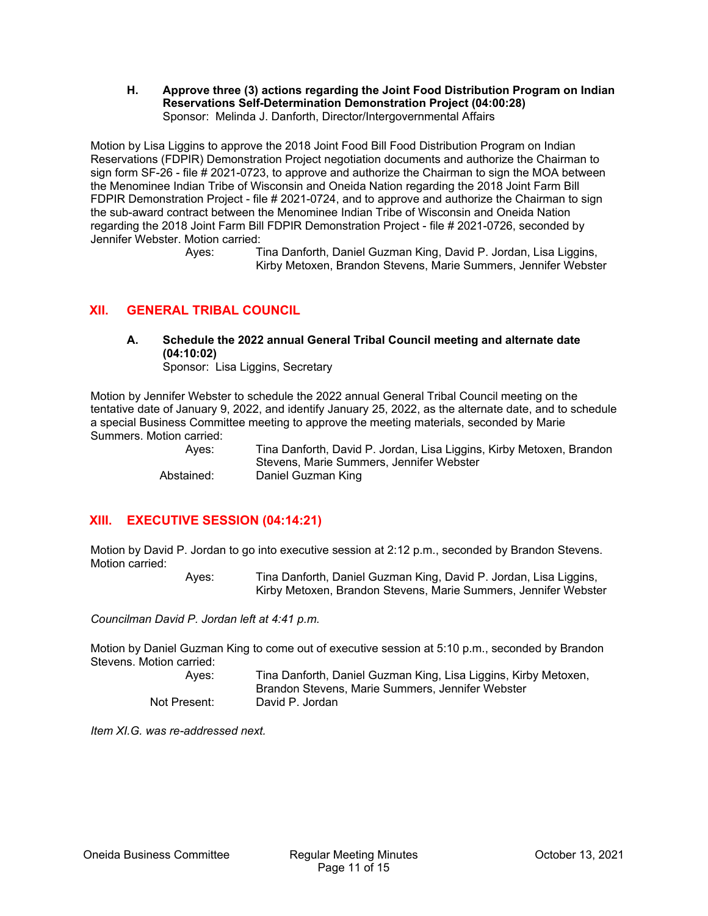**H. Approve three (3) actions regarding the Joint Food Distribution Program on Indian Reservations Self-Determination Demonstration Project (04:00:28)**  Sponsor: Melinda J. Danforth, Director/Intergovernmental Affairs

Motion by Lisa Liggins to approve the 2018 Joint Food Bill Food Distribution Program on Indian Reservations (FDPIR) Demonstration Project negotiation documents and authorize the Chairman to sign form SF-26 - file # 2021-0723, to approve and authorize the Chairman to sign the MOA between the Menominee Indian Tribe of Wisconsin and Oneida Nation regarding the 2018 Joint Farm Bill FDPIR Demonstration Project - file # 2021-0724, and to approve and authorize the Chairman to sign the sub-award contract between the Menominee Indian Tribe of Wisconsin and Oneida Nation regarding the 2018 Joint Farm Bill FDPIR Demonstration Project - file # 2021-0726, seconded by Jennifer Webster. Motion carried:

 Ayes: Tina Danforth, Daniel Guzman King, David P. Jordan, Lisa Liggins, Kirby Metoxen, Brandon Stevens, Marie Summers, Jennifer Webster

# **XII. GENERAL TRIBAL COUNCIL**

# **A. Schedule the 2022 annual General Tribal Council meeting and alternate date (04:10:02)**

Sponsor: Lisa Liggins, Secretary

Motion by Jennifer Webster to schedule the 2022 annual General Tribal Council meeting on the tentative date of January 9, 2022, and identify January 25, 2022, as the alternate date, and to schedule a special Business Committee meeting to approve the meeting materials, seconded by Marie Summers. Motion carried:

 Ayes: Tina Danforth, David P. Jordan, Lisa Liggins, Kirby Metoxen, Brandon Stevens, Marie Summers, Jennifer Webster Abstained: Daniel Guzman King

# **XIII. EXECUTIVE SESSION (04:14:21)**

Motion by David P. Jordan to go into executive session at 2:12 p.m., seconded by Brandon Stevens. Motion carried:

 Ayes: Tina Danforth, Daniel Guzman King, David P. Jordan, Lisa Liggins, Kirby Metoxen, Brandon Stevens, Marie Summers, Jennifer Webster

*Councilman David P. Jordan left at 4:41 p.m.* 

Motion by Daniel Guzman King to come out of executive session at 5:10 p.m., seconded by Brandon Stevens. Motion carried:

| Aves:        | Tina Danforth, Daniel Guzman King, Lisa Liggins, Kirby Metoxen, |
|--------------|-----------------------------------------------------------------|
|              | Brandon Stevens, Marie Summers, Jennifer Webster                |
| Not Present: | David P. Jordan                                                 |

*Item XI.G. was re-addressed next.*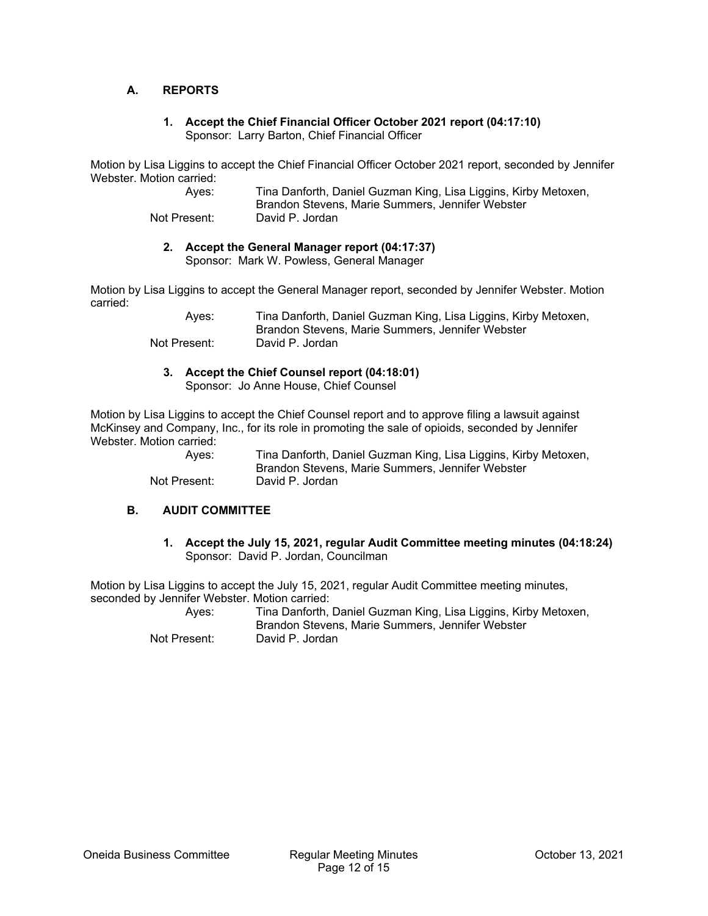### **A. REPORTS**

#### **1. Accept the Chief Financial Officer October 2021 report (04:17:10)**  Sponsor: Larry Barton, Chief Financial Officer

Motion by Lisa Liggins to accept the Chief Financial Officer October 2021 report, seconded by Jennifer Webster. Motion carried:

| Ayes:        | Tina Danforth, Daniel Guzman King, Lisa Liggins, Kirby Metoxen, |
|--------------|-----------------------------------------------------------------|
|              | Brandon Stevens, Marie Summers, Jennifer Webster                |
| Not Present: | David P. Jordan                                                 |

# **2. Accept the General Manager report (04:17:37)**

Sponsor: Mark W. Powless, General Manager

Motion by Lisa Liggins to accept the General Manager report, seconded by Jennifer Webster. Motion carried:

| Ayes:        | Tina Danforth, Daniel Guzman King, Lisa Liggins, Kirby Metoxen, |
|--------------|-----------------------------------------------------------------|
|              | Brandon Stevens, Marie Summers, Jennifer Webster                |
| Not Present: | David P. Jordan                                                 |

**3. Accept the Chief Counsel report (04:18:01)** 

Sponsor: Jo Anne House, Chief Counsel

Motion by Lisa Liggins to accept the Chief Counsel report and to approve filing a lawsuit against McKinsey and Company, Inc., for its role in promoting the sale of opioids, seconded by Jennifer Webster. Motion carried:

 Ayes: Tina Danforth, Daniel Guzman King, Lisa Liggins, Kirby Metoxen, Brandon Stevens, Marie Summers, Jennifer Webster Not Present: David P. Jordan

### **B. AUDIT COMMITTEE**

**1. Accept the July 15, 2021, regular Audit Committee meeting minutes (04:18:24)**  Sponsor: David P. Jordan, Councilman

Motion by Lisa Liggins to accept the July 15, 2021, regular Audit Committee meeting minutes, seconded by Jennifer Webster. Motion carried:

 Ayes: Tina Danforth, Daniel Guzman King, Lisa Liggins, Kirby Metoxen, Brandon Stevens, Marie Summers, Jennifer Webster Not Present: David P. Jordan

Oneida Business Committee Regular Meeting Minutes October 13, 2021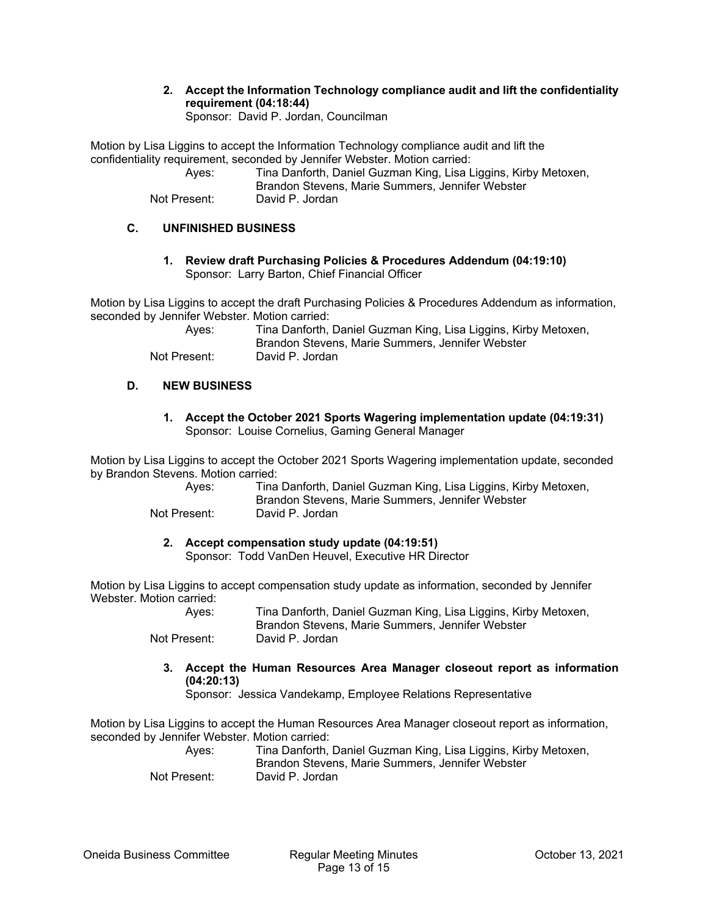**2. Accept the Information Technology compliance audit and lift the confidentiality requirement (04:18:44)** 

Sponsor: David P. Jordan, Councilman

Motion by Lisa Liggins to accept the Information Technology compliance audit and lift the confidentiality requirement, seconded by Jennifer Webster. Motion carried:

| Ayes:        | Tina Danforth, Daniel Guzman King, Lisa Liggins, Kirby Metoxen,<br>Brandon Stevens, Marie Summers, Jennifer Webster |
|--------------|---------------------------------------------------------------------------------------------------------------------|
| Not Present: | David P. Jordan                                                                                                     |

## **C. UNFINISHED BUSINESS**

**1. Review draft Purchasing Policies & Procedures Addendum (04:19:10)**  Sponsor: Larry Barton, Chief Financial Officer

Motion by Lisa Liggins to accept the draft Purchasing Policies & Procedures Addendum as information, seconded by Jennifer Webster. Motion carried:

| Ayes:        | Tina Danforth, Daniel Guzman King, Lisa Liggins, Kirby Metoxen,<br>Brandon Stevens, Marie Summers, Jennifer Webster |
|--------------|---------------------------------------------------------------------------------------------------------------------|
| Not Present: | David P. Jordan                                                                                                     |

### **D. NEW BUSINESS**

**1. Accept the October 2021 Sports Wagering implementation update (04:19:31)**  Sponsor: Louise Cornelius, Gaming General Manager

Motion by Lisa Liggins to accept the October 2021 Sports Wagering implementation update, seconded by Brandon Stevens. Motion carried:

| Ayes:        | Tina Danforth, Daniel Guzman King, Lisa Liggins, Kirby Metoxen, |
|--------------|-----------------------------------------------------------------|
|              | Brandon Stevens, Marie Summers, Jennifer Webster                |
| Not Present: | David P. Jordan                                                 |

### **2. Accept compensation study update (04:19:51)**

Sponsor: Todd VanDen Heuvel, Executive HR Director

Motion by Lisa Liggins to accept compensation study update as information, seconded by Jennifer Webster. Motion carried:

| Ayes:        | Tina Danforth, Daniel Guzman King, Lisa Liggins, Kirby Metoxen, |
|--------------|-----------------------------------------------------------------|
|              | Brandon Stevens, Marie Summers, Jennifer Webster                |
| Not Present: | David P. Jordan                                                 |

**3. Accept the Human Resources Area Manager closeout report as information (04:20:13)** 

Sponsor: Jessica Vandekamp, Employee Relations Representative

Motion by Lisa Liggins to accept the Human Resources Area Manager closeout report as information, seconded by Jennifer Webster. Motion carried:

| Ayes:        | Tina Danforth, Daniel Guzman King, Lisa Liggins, Kirby Metoxen, |
|--------------|-----------------------------------------------------------------|
|              | Brandon Stevens, Marie Summers, Jennifer Webster                |
| Not Present: | David P. Jordan                                                 |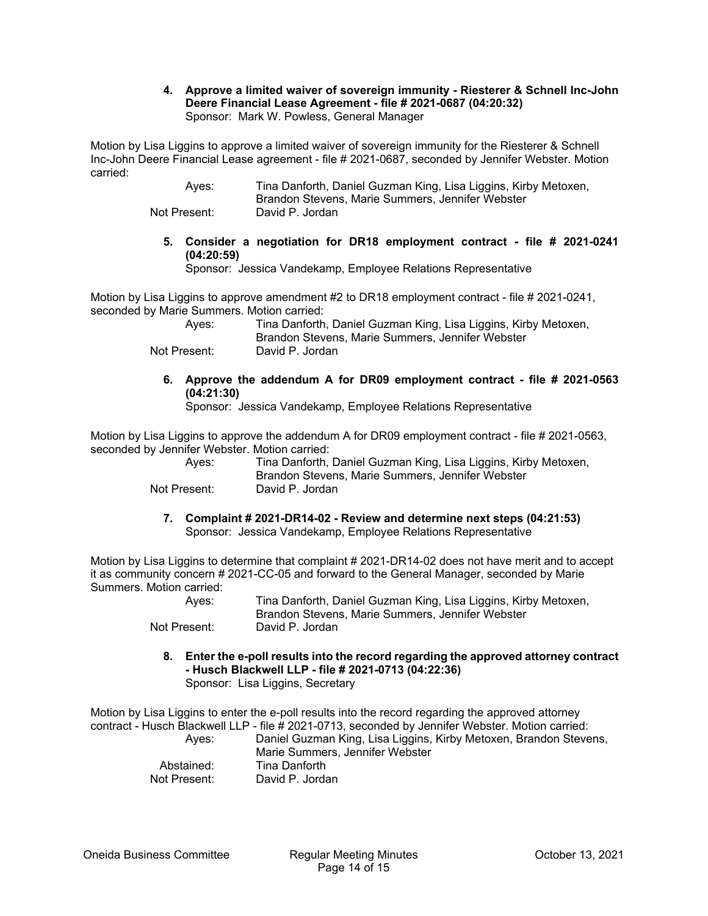#### **4. Approve a limited waiver of sovereign immunity - Riesterer & Schnell Inc-John Deere Financial Lease Agreement - file # 2021-0687 (04:20:32)**  Sponsor: Mark W. Powless, General Manager

Motion by Lisa Liggins to approve a limited waiver of sovereign immunity for the Riesterer & Schnell Inc-John Deere Financial Lease agreement - file # 2021-0687, seconded by Jennifer Webster. Motion carried:

 Ayes: Tina Danforth, Daniel Guzman King, Lisa Liggins, Kirby Metoxen, Brandon Stevens, Marie Summers, Jennifer Webster Not Present: David P. Jordan

- - **5. Consider a negotiation for DR18 employment contract file # 2021-0241 (04:20:59)**

Sponsor: Jessica Vandekamp, Employee Relations Representative

Motion by Lisa Liggins to approve amendment #2 to DR18 employment contract - file # 2021-0241, seconded by Marie Summers. Motion carried:

| Aves:        | Tina Danforth, Daniel Guzman King, Lisa Liggins, Kirby Metoxen,<br>Brandon Stevens, Marie Summers, Jennifer Webster |
|--------------|---------------------------------------------------------------------------------------------------------------------|
| Not Present: | David P. Jordan                                                                                                     |

**6. Approve the addendum A for DR09 employment contract - file # 2021-0563 (04:21:30)** 

Sponsor: Jessica Vandekamp, Employee Relations Representative

Motion by Lisa Liggins to approve the addendum A for DR09 employment contract - file # 2021-0563, seconded by Jennifer Webster. Motion carried:

| Ayes:        | Tina Danforth, Daniel Guzman King, Lisa Liggins, Kirby Metoxen,<br>Brandon Stevens, Marie Summers, Jennifer Webster |
|--------------|---------------------------------------------------------------------------------------------------------------------|
| Not Present: | David P. Jordan                                                                                                     |

**7. Complaint # 2021-DR14-02 - Review and determine next steps (04:21:53)**  Sponsor: Jessica Vandekamp, Employee Relations Representative

Motion by Lisa Liggins to determine that complaint # 2021-DR14-02 does not have merit and to accept it as community concern # 2021-CC-05 and forward to the General Manager, seconded by Marie Summers. Motion carried:

| Ayes:        | Tina Danforth, Daniel Guzman King, Lisa Liggins, Kirby Metoxen, |
|--------------|-----------------------------------------------------------------|
|              | Brandon Stevens, Marie Summers, Jennifer Webster                |
| Not Present: | David P. Jordan                                                 |

**8. Enter the e-poll results into the record regarding the approved attorney contract - Husch Blackwell LLP - file # 2021-0713 (04:22:36)**  Sponsor: Lisa Liggins, Secretary

Motion by Lisa Liggins to enter the e-poll results into the record regarding the approved attorney contract - Husch Blackwell LLP - file # 2021-0713, seconded by Jennifer Webster. Motion carried: Ayes: Daniel Guzman King, Lisa Liggins, Kirby Metoxen, Brandon Stevens, Marie Summers, Jennifer Webster Abstained: Tina Danforth Not Present: David P. Jordan